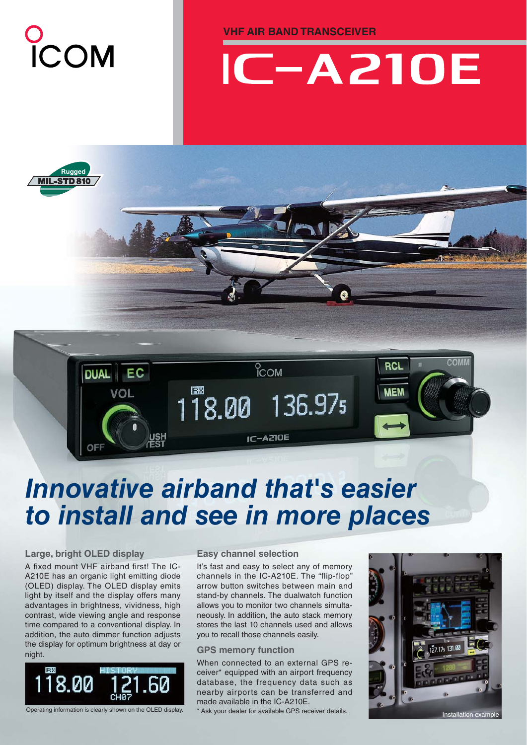

**VHF AIR BAND TRANSCEIVER**

# **IC-A210E**



### *Innovative airband that's easier to install and see in more places*

#### **Large, bright OLED display**

A fixed mount VHF airband first! The IC-A210E has an organic light emitting diode (OLED) display. The OLED display emits light by itself and the display offers many advantages in brightness, vividness, high contrast, wide viewing angle and response time compared to a conventional display. In addition, the auto dimmer function adjusts the display for optimum brightness at day or night.



#### **Easy channel selection**

It's fast and easy to select any of memory channels in the IC-A210E. The "flip-flop" arrow button switches between main and stand-by channels. The dualwatch function allows you to monitor two channels simultaneously. In addition, the auto stack memory stores the last 10 channels used and allows you to recall those channels easily.

#### **GPS memory function**

When connected to an external GPS receiver\* equipped with an airport frequency database, the frequency data such as nearby airports can be transferred and made available in the IC-A210E.